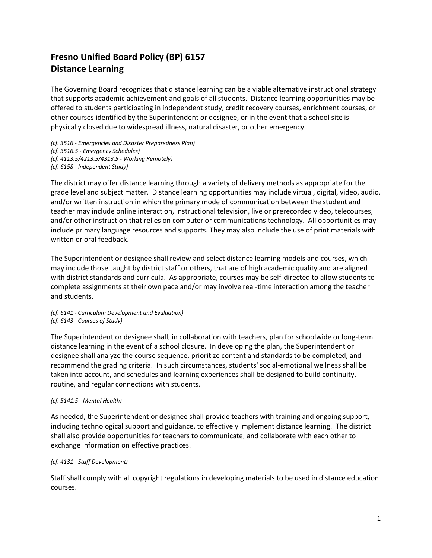# **Fresno Unified Board Policy (BP) 6157 Distance Learning**

The Governing Board recognizes that distance learning can be a viable alternative instructional strategy that supports academic achievement and goals of all students. Distance learning opportunities may be offered to students participating in independent study, credit recovery courses, enrichment courses, or other courses identified by the Superintendent or designee, or in the event that a school site is physically closed due to widespread illness, natural disaster, or other emergency.

*(cf. 3516 - Emergencies and Disaster Preparedness Plan) (cf. 3516.5 - Emergency Schedules) (cf. 4113.5/4213.5/4313.5 - Working Remotely) (cf. 6158 - Independent Study)*

The district may offer distance learning through a variety of delivery methods as appropriate for the grade level and subject matter. Distance learning opportunities may include virtual, digital, video, audio, and/or written instruction in which the primary mode of communication between the student and teacher may include online interaction, instructional television, live or prerecorded video, telecourses, and/or other instruction that relies on computer or communications technology. All opportunities may include primary language resources and supports. They may also include the use of print materials with written or oral feedback.

The Superintendent or designee shall review and select distance learning models and courses, which may include those taught by district staff or others, that are of high academic quality and are aligned with district standards and curricula. As appropriate, courses may be self-directed to allow students to complete assignments at their own pace and/or may involve real-time interaction among the teacher and students.

*(cf. 6141 - Curriculum Development and Evaluation) (cf. 6143 - Courses of Study)*

The Superintendent or designee shall, in collaboration with teachers, plan for schoolwide or long-term distance learning in the event of a school closure. In developing the plan, the Superintendent or designee shall analyze the course sequence, prioritize content and standards to be completed, and recommend the grading criteria. In such circumstances, students' social-emotional wellness shall be taken into account, and schedules and learning experiences shall be designed to build continuity, routine, and regular connections with students.

## *(cf. 5141.5 - Mental Health)*

As needed, the Superintendent or designee shall provide teachers with training and ongoing support, including technological support and guidance, to effectively implement distance learning. The district shall also provide opportunities for teachers to communicate, and collaborate with each other to exchange information on effective practices.

## *(cf. 4131 - Staff Development)*

Staff shall comply with all copyright regulations in developing materials to be used in distance education courses.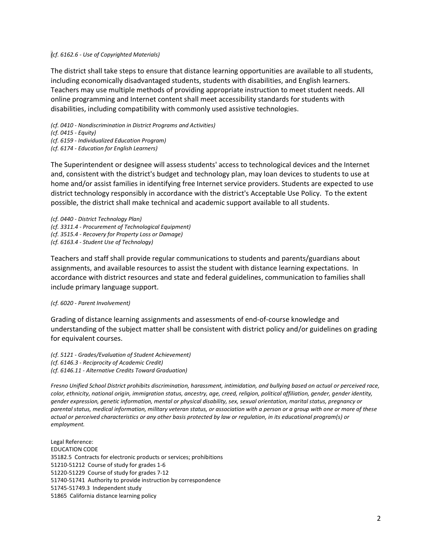### *(cf. 6162.6 - Use of Copyrighted Materials)*

The district shall take steps to ensure that distance learning opportunities are available to all students, including economically disadvantaged students, students with disabilities, and English learners. Teachers may use multiple methods of providing appropriate instruction to meet student needs. All online programming and Internet content shall meet accessibility standards for students with disabilities, including compatibility with commonly used assistive technologies.

*(cf. 0410 - Nondiscrimination in District Programs and Activities) (cf. 0415 - Equity)*

*(cf. 6159 - Individualized Education Program)*

*(cf. 6174 - Education for English Learners)*

The Superintendent or designee will assess students' access to technological devices and the Internet and, consistent with the district's budget and technology plan, may loan devices to students to use at home and/or assist families in identifying free Internet service providers. Students are expected to use district technology responsibly in accordance with the district's Acceptable Use Policy. To the extent possible, the district shall make technical and academic support available to all students.

*(cf. 0440 - District Technology Plan) (cf. 3311.4 - Procurement of Technological Equipment) (cf. 3515.4 - Recovery for Property Loss or Damage) (cf. 6163.4 - Student Use of Technology)*

Teachers and staff shall provide regular communications to students and parents/guardians about assignments, and available resources to assist the student with distance learning expectations. In accordance with district resources and state and federal guidelines, communication to families shall include primary language support.

### *(cf. 6020 - Parent Involvement)*

Grading of distance learning assignments and assessments of end-of-course knowledge and understanding of the subject matter shall be consistent with district policy and/or guidelines on grading for equivalent courses.

*(cf. 5121 - Grades/Evaluation of Student Achievement) (cf. 6146.3 - Reciprocity of Academic Credit) (cf. 6146.11 - Alternative Credits Toward Graduation)*

*Fresno Unified School District prohibits discrimination, harassment, intimidation, and bullying based on actual or perceived race, color, ethnicity, national origin, immigration status, ancestry, age, creed, religion, political affiliation, gender, gender identity, gender expression, genetic information, mental or physical disability, sex, sexual orientation, marital status, pregnancy or parental status, medical information, military veteran status, or association with a person or a group with one or more of these actual or perceived characteristics or any other basis protected by law or regulation, in its educational program(s) or employment.*

Legal Reference: EDUCATION CODE 35182.5 Contracts for electronic products or services; prohibitions 51210-51212 Course of study for grades 1-6 51220-51229 Course of study for grades 7-12 51740-51741 Authority to provide instruction by correspondence 51745-51749.3 Independent study 51865 California distance learning policy